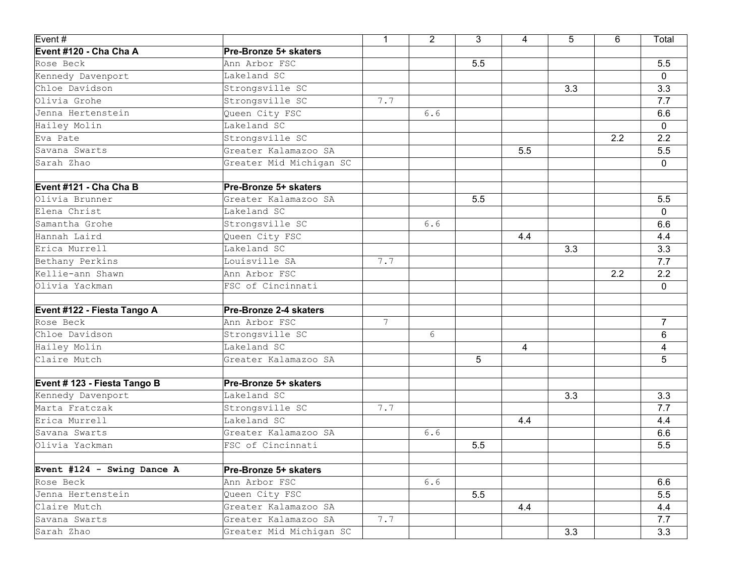| Event #                      |                         | $\mathbf{1}$    | $\overline{2}$ | 3   | 4   | 5   | 6   | Total          |
|------------------------------|-------------------------|-----------------|----------------|-----|-----|-----|-----|----------------|
| Event #120 - Cha Cha A       | Pre-Bronze 5+ skaters   |                 |                |     |     |     |     |                |
| Rose Beck                    | Ann Arbor FSC           |                 |                | 5.5 |     |     |     | 5.5            |
| Kennedy Davenport            | Lakeland SC             |                 |                |     |     |     |     | 0              |
| Chloe Davidson               | Strongsville SC         |                 |                |     |     | 3.3 |     | 3.3            |
| Olivia Grohe                 | Strongsville SC         | 7.7             |                |     |     |     |     | 7.7            |
| Jenna Hertenstein            | Queen City FSC          |                 | 6.6            |     |     |     |     | 6.6            |
| Hailey Molin                 | Lakeland SC             |                 |                |     |     |     |     | 0              |
| Eva Pate                     | Strongsville SC         |                 |                |     |     |     | 2.2 | 2.2            |
| Savana Swarts                | Greater Kalamazoo SA    |                 |                |     | 5.5 |     |     | 5.5            |
| Sarah Zhao                   | Greater Mid Michigan SC |                 |                |     |     |     |     | 0              |
| Event #121 - Cha Cha B       | Pre-Bronze 5+ skaters   |                 |                |     |     |     |     |                |
| Olivia Brunner               | Greater Kalamazoo SA    |                 |                | 5.5 |     |     |     | 5.5            |
| Elena Christ                 | Lakeland SC             |                 |                |     |     |     |     | 0              |
| Samantha Grohe               | Strongsville SC         |                 | 6.6            |     |     |     |     | 6.6            |
| Hannah Laird                 | Queen City FSC          |                 |                |     | 4.4 |     |     | 4.4            |
| Erica Murrell                | Lakeland SC             |                 |                |     |     | 3.3 |     | 3.3            |
| Bethany Perkins              | Louisville SA           | 7.7             |                |     |     |     |     | 7.7            |
| Kellie-ann Shawn             | Ann Arbor FSC           |                 |                |     |     |     | 2.2 | 2.2            |
| Olivia Yackman               | FSC of Cincinnati       |                 |                |     |     |     |     | 0              |
| Event #122 - Fiesta Tango A  | Pre-Bronze 2-4 skaters  |                 |                |     |     |     |     |                |
| Rose Beck                    | Ann Arbor FSC           | $7\phantom{.0}$ |                |     |     |     |     | $\overline{7}$ |
| Chloe Davidson               | Strongsville SC         |                 | 6              |     |     |     |     | 6              |
| Hailey Molin                 | Lakeland SC             |                 |                |     | 4   |     |     | 4              |
| Claire Mutch                 | Greater Kalamazoo SA    |                 |                | 5   |     |     |     | 5              |
| Event # 123 - Fiesta Tango B | Pre-Bronze 5+ skaters   |                 |                |     |     |     |     |                |
| Kennedy Davenport            | Lakeland SC             |                 |                |     |     | 3.3 |     | 3.3            |
| Marta Fratczak               | Strongsville SC         | 7.7             |                |     |     |     |     | 7.7            |
| Erica Murrell                | Lakeland SC             |                 |                |     | 4.4 |     |     | 4.4            |
| Savana Swarts                | Greater Kalamazoo SA    |                 | 6.6            |     |     |     |     | 6.6            |
| Olivia Yackman               | FSC of Cincinnati       |                 |                | 5.5 |     |     |     | 5.5            |
|                              |                         |                 |                |     |     |     |     |                |
| Event #124 - Swing Dance A   | Pre-Bronze 5+ skaters   |                 |                |     |     |     |     |                |
| Rose Beck                    | Ann Arbor FSC           |                 | 6.6            |     |     |     |     | 6.6            |
| Jenna Hertenstein            | Queen City FSC          |                 |                | 5.5 |     |     |     | 5.5            |
| Claire Mutch                 | Greater Kalamazoo SA    |                 |                |     | 4.4 |     |     | 4.4            |
| Savana Swarts                | Greater Kalamazoo SA    | 7.7             |                |     |     |     |     | 7.7            |
| Sarah Zhao                   | Greater Mid Michigan SC |                 |                |     |     | 3.3 |     | 3.3            |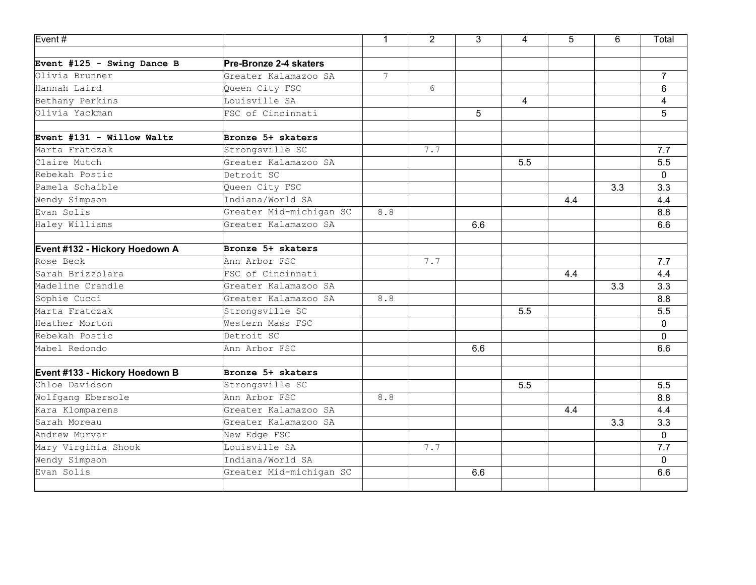| $E$ vent#                      |                         | $\mathbf{1}$    | $\overline{2}$ | $\overline{3}$ | 4   | 5   | 6   | Total          |
|--------------------------------|-------------------------|-----------------|----------------|----------------|-----|-----|-----|----------------|
|                                |                         |                 |                |                |     |     |     |                |
| Event #125 - Swing Dance B     | Pre-Bronze 2-4 skaters  |                 |                |                |     |     |     |                |
| Olivia Brunner                 | Greater Kalamazoo SA    | $7\overline{ }$ |                |                |     |     |     | $\overline{7}$ |
| Hannah Laird                   | Queen City FSC          |                 | 6              |                |     |     |     | 6              |
| Bethany Perkins                | Louisville SA           |                 |                |                | 4   |     |     | 4              |
| Olivia Yackman                 | FSC of Cincinnati       |                 |                | 5              |     |     |     | 5              |
| Event #131 - Willow Waltz      | Bronze 5+ skaters       |                 |                |                |     |     |     |                |
| Marta Fratczak                 | Strongsville SC         |                 | 7.7            |                |     |     |     | 7.7            |
| Claire Mutch                   | Greater Kalamazoo SA    |                 |                |                | 5.5 |     |     | 5.5            |
| Rebekah Postic                 | Detroit SC              |                 |                |                |     |     |     | $\Omega$       |
| Pamela Schaible                | Queen City FSC          |                 |                |                |     |     | 3.3 | 3.3            |
| Wendy Simpson                  | Indiana/World SA        |                 |                |                |     | 4.4 |     | 4.4            |
| Evan Solis                     | Greater Mid-michigan SC | 8.8             |                |                |     |     |     | 8.8            |
| Haley Williams                 | Greater Kalamazoo SA    |                 |                | 6.6            |     |     |     | 6.6            |
| Event #132 - Hickory Hoedown A | Bronze 5+ skaters       |                 |                |                |     |     |     |                |
| Rose Beck                      | Ann Arbor FSC           |                 | 7.7            |                |     |     |     | 7.7            |
| Sarah Brizzolara               | FSC of Cincinnati       |                 |                |                |     | 4.4 |     | 4.4            |
| Madeline Crandle               | Greater Kalamazoo SA    |                 |                |                |     |     | 3.3 | 3.3            |
| Sophie Cucci                   | Greater Kalamazoo SA    | $8.8$           |                |                |     |     |     | 8.8            |
| Marta Fratczak                 | Strongsville SC         |                 |                |                | 5.5 |     |     | 5.5            |
| Heather Morton                 | Western Mass FSC        |                 |                |                |     |     |     | 0              |
| Rebekah Postic                 | Detroit SC              |                 |                |                |     |     |     | $\Omega$       |
| Mabel Redondo                  | Ann Arbor FSC           |                 |                | 6.6            |     |     |     | 6.6            |
| Event #133 - Hickory Hoedown B | Bronze 5+ skaters       |                 |                |                |     |     |     |                |
| Chloe Davidson                 | Strongsville SC         |                 |                |                | 5.5 |     |     | 5.5            |
| Wolfgang Ebersole              | Ann Arbor FSC           | 8.8             |                |                |     |     |     | 8.8            |
| Kara Klomparens                | Greater Kalamazoo SA    |                 |                |                |     | 4.4 |     | 4.4            |
| Sarah Moreau                   | Greater Kalamazoo SA    |                 |                |                |     |     | 3.3 | 3.3            |
| Andrew Murvar                  | New Edge FSC            |                 |                |                |     |     |     | 0              |
| Mary Virginia Shook            | Louisville SA           |                 | 7.7            |                |     |     |     | 7.7            |
| Wendy Simpson                  | Indiana/World SA        |                 |                |                |     |     |     | 0              |
| Evan Solis                     | Greater Mid-michigan SC |                 |                | 6.6            |     |     |     | 6.6            |
|                                |                         |                 |                |                |     |     |     |                |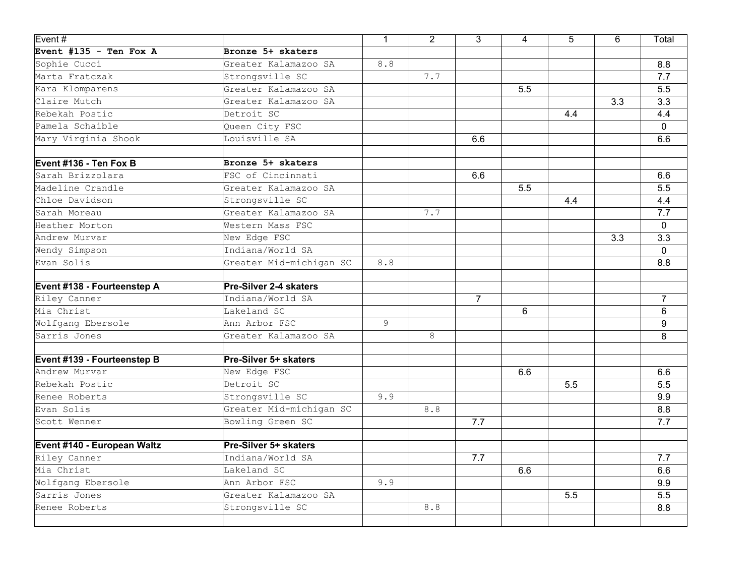| Event#                      |                         | $\mathbf{1}$ | $\overline{2}$ | $\overline{3}$ | 4   | 5   | 6   | Total          |
|-----------------------------|-------------------------|--------------|----------------|----------------|-----|-----|-----|----------------|
| Event #135 - Ten Fox A      | Bronze 5+ skaters       |              |                |                |     |     |     |                |
| Sophie Cucci                | Greater Kalamazoo SA    | 8.8          |                |                |     |     |     | 8.8            |
| Marta Fratczak              | Strongsville SC         |              | 7.7            |                |     |     |     | 7.7            |
| Kara Klomparens             | Greater Kalamazoo SA    |              |                |                | 5.5 |     |     | 5.5            |
| Claire Mutch                | Greater Kalamazoo SA    |              |                |                |     |     | 3.3 | 3.3            |
| Rebekah Postic              | Detroit SC              |              |                |                |     | 4.4 |     | 4.4            |
| Pamela Schaible             | Queen City FSC          |              |                |                |     |     |     | 0              |
| Mary Virginia Shook         | Louisville SA           |              |                | 6.6            |     |     |     | 6.6            |
| Event #136 - Ten Fox B      | Bronze 5+ skaters       |              |                |                |     |     |     |                |
| Sarah Brizzolara            | FSC of Cincinnati       |              |                | 6.6            |     |     |     | 6.6            |
| Madeline Crandle            | Greater Kalamazoo SA    |              |                |                | 5.5 |     |     | 5.5            |
| Chloe Davidson              | Strongsville SC         |              |                |                |     | 4.4 |     | 4.4            |
| Sarah Moreau                | Greater Kalamazoo SA    |              | 7.7            |                |     |     |     | 7.7            |
| Heather Morton              | Western Mass FSC        |              |                |                |     |     |     | 0              |
| Andrew Murvar               | New Edge FSC            |              |                |                |     |     | 3.3 | 3.3            |
| Wendy Simpson               | Indiana/World SA        |              |                |                |     |     |     | $\mathbf{0}$   |
| Evan Solis                  | Greater Mid-michigan SC | 8.8          |                |                |     |     |     | 8.8            |
| Event #138 - Fourteenstep A | Pre-Silver 2-4 skaters  |              |                |                |     |     |     |                |
| Riley Canner                | Indiana/World SA        |              |                | $\overline{7}$ |     |     |     | $\overline{7}$ |
| Mia Christ                  | Lakeland SC             |              |                |                | 6   |     |     | 6              |
| Wolfgang Ebersole           | Ann Arbor FSC           | 9            |                |                |     |     |     | 9              |
| Sarris Jones                | Greater Kalamazoo SA    |              | 8              |                |     |     |     | 8              |
| Event #139 - Fourteenstep B | Pre-Silver 5+ skaters   |              |                |                |     |     |     |                |
| Andrew Murvar               | New Edge FSC            |              |                |                | 6.6 |     |     | 6.6            |
| Rebekah Postic              | Detroit SC              |              |                |                |     | 5.5 |     | 5.5            |
| Renee Roberts               | Strongsville SC         | 9.9          |                |                |     |     |     | 9.9            |
| Evan Solis                  | Greater Mid-michigan SC |              | 8.8            |                |     |     |     | 8.8            |
| Scott Wenner                | Bowling Green SC        |              |                | 7.7            |     |     |     | 7.7            |
| Event #140 - European Waltz | Pre-Silver 5+ skaters   |              |                |                |     |     |     |                |
| Riley Canner                | Indiana/World SA        |              |                | 7.7            |     |     |     | 7.7            |
| Mia Christ                  | Lakeland SC             |              |                |                | 6.6 |     |     | 6.6            |
| Wolfgang Ebersole           | Ann Arbor FSC           | 9.9          |                |                |     |     |     | 9.9            |
| Sarris Jones                | Greater Kalamazoo SA    |              |                |                |     | 5.5 |     | 5.5            |
| Renee Roberts               | Strongsville SC         |              | 8.8            |                |     |     |     | 8.8            |
|                             |                         |              |                |                |     |     |     |                |